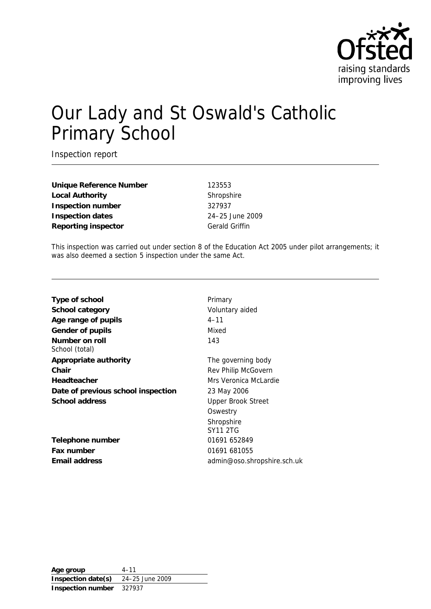

# Our Lady and St Oswald's Catholic Primary School

Inspection report

**Unique Reference Number** 123553 Local Authority **Shropshire Inspection number** 327937 **Inspection dates** 24–25 June 2009 **Reporting inspector** Gerald Griffin

This inspection was carried out under section 8 of the Education Act 2005 under pilot arrangements; it was also deemed a section 5 inspection under the same Act.

| Type of school                     | Primary                     |
|------------------------------------|-----------------------------|
| School category                    | Voluntary aided             |
| Age range of pupils                | $4 - 11$                    |
| Gender of pupils                   | Mixed                       |
| Number on roll<br>School (total)   | 143                         |
| Appropriate authority              | The governing body          |
| Chair                              | Rev Philip McGovern         |
| Headteacher                        | Mrs Veronica McLardie       |
| Date of previous school inspection | 23 May 2006                 |
| School address                     | <b>Upper Brook Street</b>   |
|                                    | Oswestry                    |
|                                    | Shropshire                  |
|                                    | <b>SY11 2TG</b>             |
| Telephone number                   | 01691 652849                |
| Fax number                         | 01691 681055                |
| Email address                      | admin@oso.shropshire.sch.uk |
|                                    |                             |

**Age group** 4–11 **Inspection date(s)** 24–25 June 2009 **Inspection number** 327937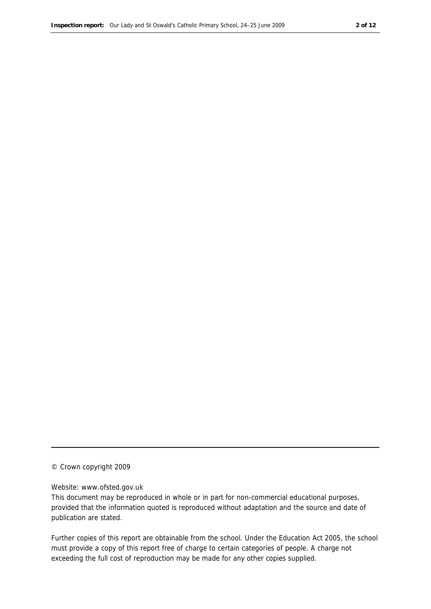#### © Crown copyright 2009

#### Website: www.ofsted.gov.uk

This document may be reproduced in whole or in part for non-commercial educational purposes, provided that the information quoted is reproduced without adaptation and the source and date of publication are stated.

Further copies of this report are obtainable from the school. Under the Education Act 2005, the school must provide a copy of this report free of charge to certain categories of people. A charge not exceeding the full cost of reproduction may be made for any other copies supplied.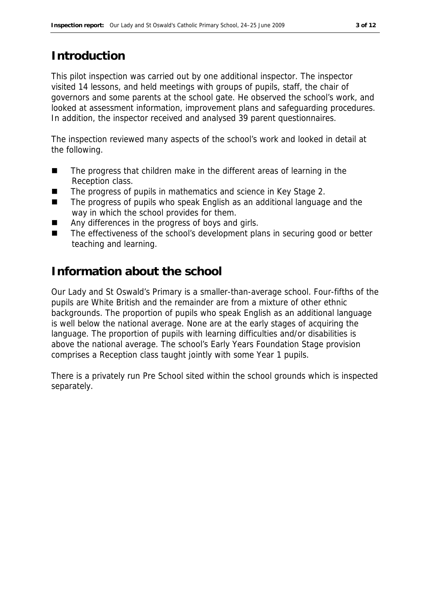## **Introduction**

This pilot inspection was carried out by one additional inspector. The inspector visited 14 lessons, and held meetings with groups of pupils, staff, the chair of governors and some parents at the school gate. He observed the school's work, and looked at assessment information, improvement plans and safeguarding procedures. In addition, the inspector received and analysed 39 parent questionnaires.

The inspection reviewed many aspects of the school's work and looked in detail at the following.

- The progress that children make in the different areas of learning in the Reception class.
- The progress of pupils in mathematics and science in Key Stage 2.
- The progress of pupils who speak English as an additional language and the way in which the school provides for them.
- Any differences in the progress of boys and girls.
- The effectiveness of the school's development plans in securing good or better teaching and learning.

#### **Information about the school**

Our Lady and St Oswald's Primary is a smaller-than-average school. Four-fifths of the pupils are White British and the remainder are from a mixture of other ethnic backgrounds. The proportion of pupils who speak English as an additional language is well below the national average. None are at the early stages of acquiring the language. The proportion of pupils with learning difficulties and/or disabilities is above the national average. The school's Early Years Foundation Stage provision comprises a Reception class taught jointly with some Year 1 pupils.

There is a privately run Pre School sited within the school grounds which is inspected separately.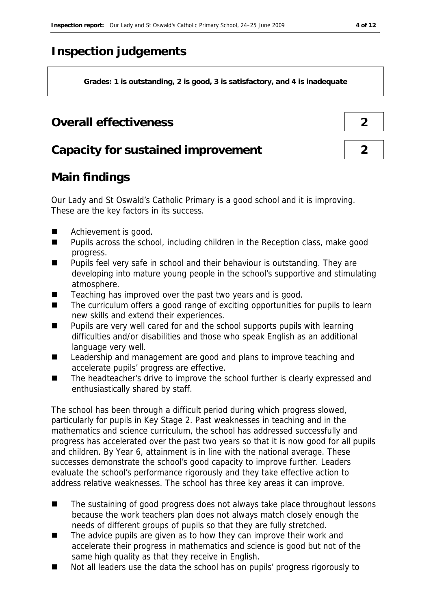## **Inspection judgements**

**Grades: 1 is outstanding, 2 is good, 3 is satisfactory, and 4 is inadequate**

## **Overall effectiveness 2**

#### **Capacity for sustained improvement 2**

## **Main findings**

Our Lady and St Oswald's Catholic Primary is a good school and it is improving. These are the key factors in its success.

- Achievement is good.
- Pupils across the school, including children in the Reception class, make good progress.
- Pupils feel very safe in school and their behaviour is outstanding. They are developing into mature young people in the school's supportive and stimulating atmosphere.
- Teaching has improved over the past two years and is good.
- The curriculum offers a good range of exciting opportunities for pupils to learn new skills and extend their experiences.
- **Pupils are very well cared for and the school supports pupils with learning** difficulties and/or disabilities and those who speak English as an additional language very well.
- Leadership and management are good and plans to improve teaching and accelerate pupils' progress are effective.
- The headteacher's drive to improve the school further is clearly expressed and enthusiastically shared by staff.

The school has been through a difficult period during which progress slowed, particularly for pupils in Key Stage 2. Past weaknesses in teaching and in the parmements and science curriculum, the school has addressed successfully and progress has accelerated over the past two years so that it is now good for all pupils and children. By Year 6, attainment is in line with the national average. These successes demonstrate the school's good capacity to improve further. Leaders evaluate the school's performance rigorously and they take effective action to address relative weaknesses. The school has three key areas it can improve.

- The sustaining of good progress does not always take place throughout lessons because the work teachers plan does not always match closely enough the needs of different groups of pupils so that they are fully stretched.
- The advice pupils are given as to how they can improve their work and accelerate their progress in mathematics and science is good but not of the same high quality as that they receive in English.
- Not all leaders use the data the school has on pupils' progress rigorously to

 $\Gamma$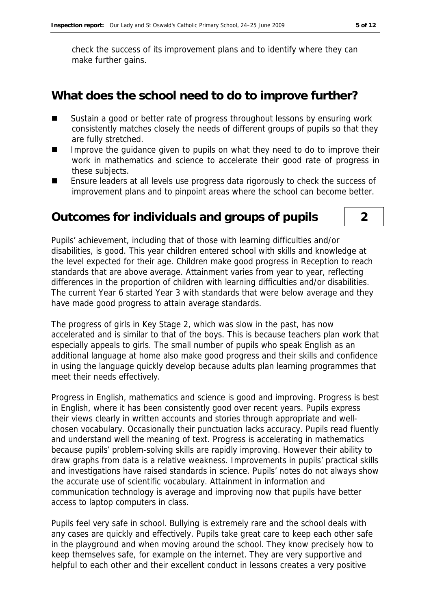check the success of its improvement plans and to identify where they can make further gains.

#### **What does the school need to do to improve further?**

- Sustain a good or better rate of progress throughout lessons by ensuring work consistently matches closely the needs of different groups of pupils so that they are fully stretched.
- Improve the quidance given to pupils on what they need to do to improve their work in mathematics and science to accelerate their good rate of progress in these subjects.
- **Ensure leaders at all levels use progress data rigorously to check the success of** improvement plans and to pinpoint areas where the school can become better.

#### **Outcomes for individuals and groups of pupils 2**

Pupils' achievement, including that of those with learning difficulties and/or disabilities, is good. This year children entered school with skills and knowledge at the level expected for their age. Children make good progress in Reception to reach standards that are above average. Attainment varies from year to year, reflecting differences in the proportion of children with learning difficulties and/or disabilities. The current Year 6 started Year 3 with standards that were below average and they have made good progress to attain average standards.

The progress of girls in Key Stage 2, which was slow in the past, has now accelerated and is similar to that of the boys. This is because teachers plan work that especially appeals to girls. The small number of pupils who speak English as an additional language at home also make good progress and their skills and confidence in using the language quickly develop because adults plan learning programmes that meet their needs effectively.

Progress in English, mathematics and science is good and improving. Progress is best in English, where it has been consistently good over recent years. Pupils express their views clearly in written accounts and stories through appropriate and wellchosen vocabulary. Occasionally their punctuation lacks accuracy. Pupils read fluently and understand well the meaning of text. Progress is accelerating in mathematics because pupils' problem-solving skills are rapidly improving. However their ability to draw graphs from data is a relative weakness. Improvements in pupils' practical skills and investigations have raised standards in science. Pupils' notes do not always show the accurate use of scientific vocabulary. Attainment in information and communication technology is average and improving now that pupils have better access to laptop computers in class.

Pupils feel very safe in school. Bullying is extremely rare and the school deals with any cases are quickly and effectively. Pupils take great care to keep each other safe in the playground and when moving around the school. They know precisely how to keep themselves safe, for example on the internet. They are very supportive and helpful to each other and their excellent conduct in lessons creates a very positive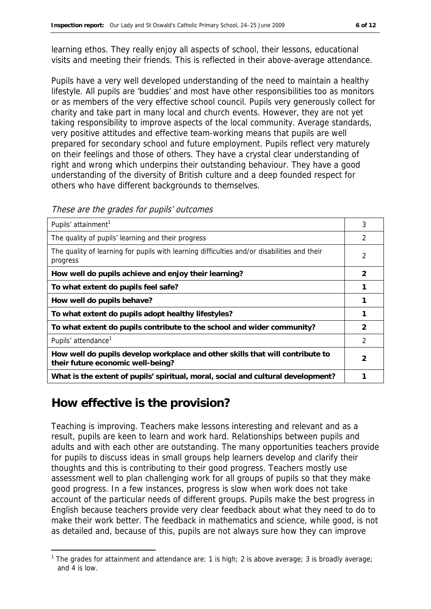learning ethos. They really enjoy all aspects of school, their lessons, educational visits and meeting their friends. This is reflected in their above-average attendance.

Pupils have a very well developed understanding of the need to maintain a healthy lifestyle. All pupils are 'buddies' and most have other responsibilities too as monitors or as members of the very effective school council. Pupils very generously collect for charity and take part in many local and church events. However, they are not yet taking responsibility to improve aspects of the local community. Average standards, very positive attitudes and effective team-working means that pupils are well prepared for secondary school and future employment. Pupils reflect very maturely on their feelings and those of others. They have a crystal clear understanding of right and wrong which underpins their outstanding behaviour. They have a good understanding of the diversity of British culture and a deep founded respect for others who have different backgrounds to themselves.

These are the grades for pupils' outcomes

| Pupils' attainment <sup>1</sup>                                                                                    | 3 |
|--------------------------------------------------------------------------------------------------------------------|---|
| The quality of pupils' learning and their progress                                                                 | 2 |
| The quality of learning for pupils with learning difficulties and/or disabilities and their<br>progress            | 2 |
| How well do pupils achieve and enjoy their learning?                                                               | 2 |
| To what extent do pupils feel safe?                                                                                |   |
| How well do pupils behave?                                                                                         |   |
| To what extent do pupils adopt healthy lifestyles?                                                                 |   |
| To what extent do pupils contribute to the school and wider community?                                             | 2 |
| Pupils' attendance <sup>1</sup>                                                                                    | 2 |
| How well do pupils develop workplace and other skills that will contribute to<br>their future economic well-being? | 2 |
| What is the extent of pupils' spiritual, moral, social and cultural development?                                   |   |

## **How effective is the provision?**

-

Teaching is improving. Teachers make lessons interesting and relevant and as a result, pupils are keen to learn and work hard. Relationships between pupils and adults and with each other are outstanding. The many opportunities teachers provide for pupils to discuss ideas in small groups help learners develop and clarify their thoughts and this is contributing to their good progress. Teachers mostly use assessment well to plan challenging work for all groups of pupils so that they make good progress. In a few instances, progress is slow when work does not take account of the particular needs of different groups. Pupils make the best progress in English because teachers provide very clear feedback about what they need to do to make their work better. The feedback in mathematics and science, while good, is not as detailed and, because of this, pupils are not always sure how they can improve

<sup>&</sup>lt;sup>1</sup> The grades for attainment and attendance are: 1 is high; 2 is above average; 3 is broadly average; and 4 is low.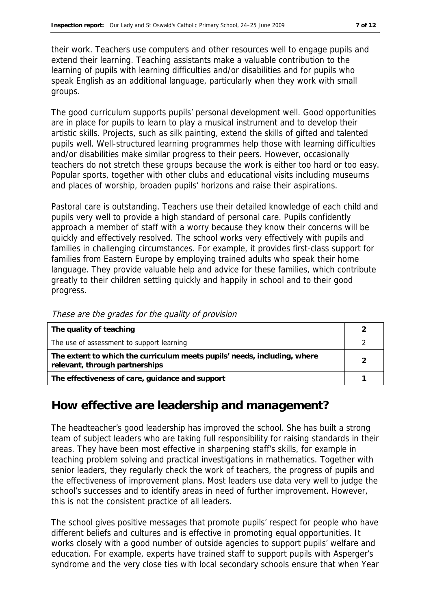their work. Teachers use computers and other resources well to engage pupils and extend their learning. Teaching assistants make a valuable contribution to the learning of pupils with learning difficulties and/or disabilities and for pupils who speak English as an additional language, particularly when they work with small groups.

The good curriculum supports pupils' personal development well. Good opportunities are in place for pupils to learn to play a musical instrument and to develop their artistic skills. Projects, such as silk painting, extend the skills of gifted and talented pupils well. Well-structured learning programmes help those with learning difficulties and/or disabilities make similar progress to their peers. However, occasionally teachers do not stretch these groups because the work is either too hard or too easy. Popular sports, together with other clubs and educational visits including museums and places of worship, broaden pupils' horizons and raise their aspirations.

Pastoral care is outstanding. Teachers use their detailed knowledge of each child and pupils very well to provide a high standard of personal care. Pupils confidently approach a member of staff with a worry because they know their concerns will be quickly and effectively resolved. The school works very effectively with pupils and families in challenging circumstances. For example, it provides first-class support for families from Eastern Europe by employing trained adults who speak their home language. They provide valuable help and advice for these families, which contribute greatly to their children settling quickly and happily in school and to their good progress.

| The quality of teaching                                                                                    |  |
|------------------------------------------------------------------------------------------------------------|--|
| The use of assessment to support learning                                                                  |  |
| The extent to which the curriculum meets pupils' needs, including, where<br>relevant, through partnerships |  |
| The effectiveness of care, guidance and support                                                            |  |

These are the grades for the quality of provision

#### **How effective are leadership and management?**

The headteacher's good leadership has improved the school. She has built a strong team of subject leaders who are taking full responsibility for raising standards in their areas. They have been most effective in sharpening staff's skills, for example in teaching problem solving and practical investigations in mathematics. Together with senior leaders, they regularly check the work of teachers, the progress of pupils and the effectiveness of improvement plans. Most leaders use data very well to judge the school's successes and to identify areas in need of further improvement. However, this is not the consistent practice of all leaders.

The school gives positive messages that promote pupils' respect for people who have different beliefs and cultures and is effective in promoting equal opportunities. It works closely with a good number of outside agencies to support pupils' welfare and education. For example, experts have trained staff to support pupils with Asperger's syndrome and the very close ties with local secondary schools ensure that when Year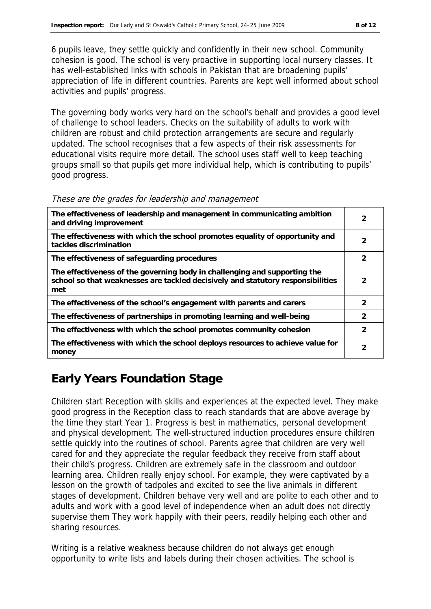6 pupils leave, they settle quickly and confidently in their new school. Community cohesion is good. The school is very proactive in supporting local nursery classes. It has well-established links with schools in Pakistan that are broadening pupils' appreciation of life in different countries. Parents are kept well informed about school activities and pupils' progress.

The governing body works very hard on the school's behalf and provides a good level of challenge to school leaders. Checks on the suitability of adults to work with children are robust and child protection arrangements are secure and regularly updated. The school recognises that a few aspects of their risk assessments for educational visits require more detail. The school uses staff well to keep teaching groups small so that pupils get more individual help, which is contributing to pupils' good progress.

| The effectiveness of leadership and management in communicating ambition<br>and driving improvement                                                                 | 2             |
|---------------------------------------------------------------------------------------------------------------------------------------------------------------------|---------------|
| The effectiveness with which the school promotes equality of opportunity and<br>tackles discrimination                                                              | 2             |
| The effectiveness of safeguarding procedures                                                                                                                        | 2             |
| The effectiveness of the governing body in challenging and supporting the<br>school so that weaknesses are tackled decisively and statutory responsibilities<br>met | $\mathcal{P}$ |
| The effectiveness of the school's engagement with parents and carers                                                                                                | $\mathcal{P}$ |
| The effectiveness of partnerships in promoting learning and well-being                                                                                              | $\mathcal{L}$ |
| The effectiveness with which the school promotes community cohesion                                                                                                 | 2             |
| The effectiveness with which the school deploys resources to achieve value for<br>money                                                                             | 2             |

#### These are the grades for leadership and management

## **Early Years Foundation Stage**

Children start Reception with skills and experiences at the expected level. They make good progress in the Reception class to reach standards that are above average by the time they start Year 1. Progress is best in mathematics, personal development and physical development. The well-structured induction procedures ensure children settle quickly into the routines of school. Parents agree that children are very well cared for and they appreciate the regular feedback they receive from staff about their child's progress. Children are extremely safe in the classroom and outdoor learning area. Children really enjoy school. For example, they were captivated by a lesson on the growth of tadpoles and excited to see the live animals in different stages of development. Children behave very well and are polite to each other and to adults and work with a good level of independence when an adult does not directly supervise them They work happily with their peers, readily helping each other and sharing resources.

Writing is a relative weakness because children do not always get enough opportunity to write lists and labels during their chosen activities. The school is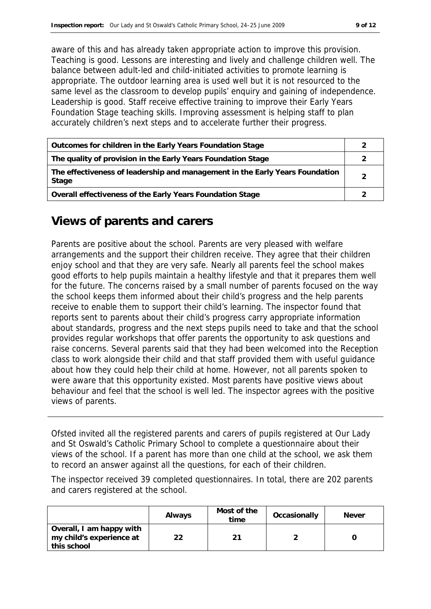aware of this and has already taken appropriate action to improve this provision. Teaching is good. Lessons are interesting and lively and challenge children well. The balance between adult-led and child-initiated activities to promote learning is appropriate. The outdoor learning area is used well but it is not resourced to the same level as the classroom to develop pupils' enquiry and gaining of independence. Leadership is good. Staff receive effective training to improve their Early Years Foundation Stage teaching skills. Improving assessment is helping staff to plan accurately children's next steps and to accelerate further their progress.

| Outcomes for children in the Early Years Foundation Stage                             |  |
|---------------------------------------------------------------------------------------|--|
| The quality of provision in the Early Years Foundation Stage                          |  |
| The effectiveness of leadership and management in the Early Years Foundation<br>Stage |  |
| Overall effectiveness of the Early Years Foundation Stage                             |  |

## **Views of parents and carers**

Parents are positive about the school. Parents are very pleased with welfare arrangements and the support their children receive. They agree that their children enjoy school and that they are very safe. Nearly all parents feel the school makes good efforts to help pupils maintain a healthy lifestyle and that it prepares them well for the future. The concerns raised by a small number of parents focused on the way the school keeps them informed about their child's progress and the help parents receive to enable them to support their child's learning. The inspector found that reports sent to parents about their child's progress carry appropriate information about standards, progress and the next steps pupils need to take and that the school provides regular workshops that offer parents the opportunity to ask questions and raise concerns. Several parents said that they had been welcomed into the Reception class to work alongside their child and that staff provided them with useful guidance about how they could help their child at home. However, not all parents spoken to were aware that this opportunity existed. Most parents have positive views about behaviour and feel that the school is well led. The inspector agrees with the positive views of parents.

Ofsted invited all the registered parents and carers of pupils registered at Our Lady and St Oswald's Catholic Primary School to complete a questionnaire about their views of the school. If a parent has more than one child at the school, we ask them to record an answer against all the questions, for each of their children.

The inspector received 39 completed questionnaires. In total, there are 202 parents and carers registered at the school.

|                                                                     | Always | Most of the<br>time | Occasionally | <b>Never</b> |
|---------------------------------------------------------------------|--------|---------------------|--------------|--------------|
| Overall, I am happy with<br>my child's experience at<br>this school |        |                     |              |              |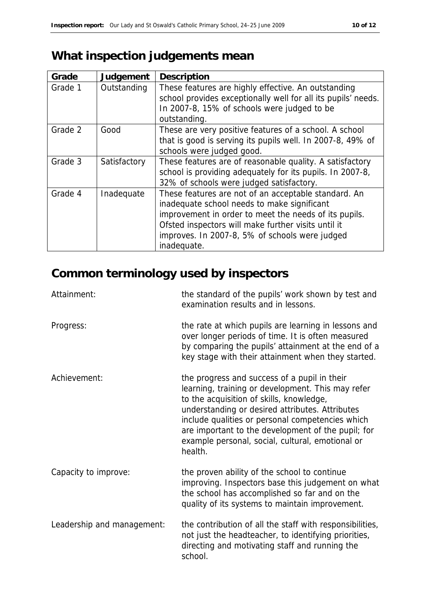# **What inspection judgements mean**

| Grade   | Judgement    | Description                                                   |
|---------|--------------|---------------------------------------------------------------|
| Grade 1 | Outstanding  | These features are highly effective. An outstanding           |
|         |              | school provides exceptionally well for all its pupils' needs. |
|         |              | In 2007-8, 15% of schools were judged to be                   |
|         |              | outstanding.                                                  |
| Grade 2 | Good         | These are very positive features of a school. A school        |
|         |              | that is good is serving its pupils well. In 2007-8, 49% of    |
|         |              | schools were judged good.                                     |
| Grade 3 | Satisfactory | These features are of reasonable quality. A satisfactory      |
|         |              | school is providing adequately for its pupils. In 2007-8,     |
|         |              | 32% of schools were judged satisfactory.                      |
| Grade 4 | Inadequate   | These features are not of an acceptable standard. An          |
|         |              | inadequate school needs to make significant                   |
|         |              | improvement in order to meet the needs of its pupils.         |
|         |              | Ofsted inspectors will make further visits until it           |
|         |              | improves. In 2007-8, 5% of schools were judged                |
|         |              | inadequate.                                                   |

# **Common terminology used by inspectors**

| Attainment:                | the standard of the pupils' work shown by test and<br>examination results and in lessons.                                                                                                                                                                                                                                                                                 |
|----------------------------|---------------------------------------------------------------------------------------------------------------------------------------------------------------------------------------------------------------------------------------------------------------------------------------------------------------------------------------------------------------------------|
| Progress:                  | the rate at which pupils are learning in lessons and<br>over longer periods of time. It is often measured<br>by comparing the pupils' attainment at the end of a<br>key stage with their attainment when they started.                                                                                                                                                    |
| Achievement:               | the progress and success of a pupil in their<br>learning, training or development. This may refer<br>to the acquisition of skills, knowledge,<br>understanding or desired attributes. Attributes<br>include qualities or personal competencies which<br>are important to the development of the pupil; for<br>example personal, social, cultural, emotional or<br>health. |
| Capacity to improve:       | the proven ability of the school to continue<br>improving. Inspectors base this judgement on what<br>the school has accomplished so far and on the<br>quality of its systems to maintain improvement.                                                                                                                                                                     |
| Leadership and management: | the contribution of all the staff with responsibilities,<br>not just the headteacher, to identifying priorities,<br>directing and motivating staff and running the<br>school.                                                                                                                                                                                             |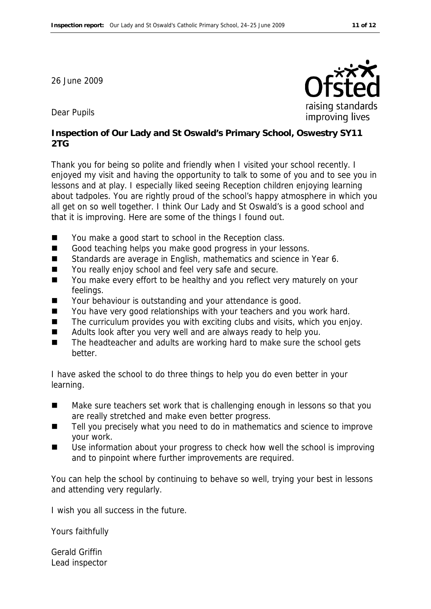26 June 2009



Dear Pupils

**Inspection of Our Lady and St Oswald's Primary School, Oswestry SY11 2TG**

Thank you for being so polite and friendly when I visited your school recently. I enjoyed my visit and having the opportunity to talk to some of you and to see you in lessons and at play. I especially liked seeing Reception children enjoying learning about tadpoles. You are rightly proud of the school's happy atmosphere in which you all get on so well together. I think Our Lady and St Oswald's is a good school and that it is improving. Here are some of the things I found out.

- You make a good start to school in the Reception class.
- Good teaching helps you make good progress in your lessons.
- Standards are average in English, mathematics and science in Year 6.
- You really enjoy school and feel very safe and secure.
- You make every effort to be healthy and you reflect very maturely on your feelings.
- Your behaviour is outstanding and your attendance is good.
- You have very good relationships with your teachers and you work hard.
- The curriculum provides you with exciting clubs and visits, which you enjoy.
- Adults look after you very well and are always ready to help you.
- The headteacher and adults are working hard to make sure the school gets better.

I have asked the school to do three things to help you do even better in your learning.

- Make sure teachers set work that is challenging enough in lessons so that you are really stretched and make even better progress.
- $\blacksquare$  Tell you precisely what you need to do in mathematics and science to improve your work.
- Use information about your progress to check how well the school is improving and to pinpoint where further improvements are required.

You can help the school by continuing to behave so well, trying your best in lessons and attending very regularly.

I wish you all success in the future.

Yours faithfully

Gerald Griffin Lead inspector